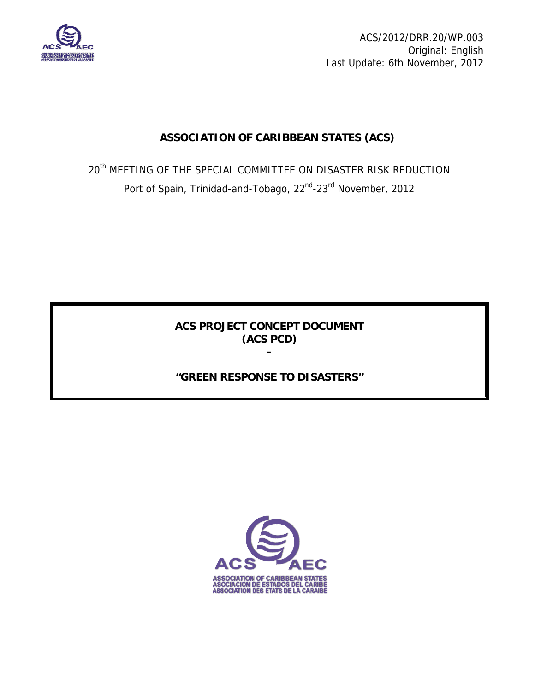

ACS/2012/DRR.20/WP.003 Original: English Last Update: 6th November, 2012

# **ASSOCIATION OF CARIBBEAN STATES (ACS)**

 $20<sup>th</sup>$  MEETING OF THE SPECIAL COMMITTEE ON DISASTER RISK REDUCTION Port of Spain, Trinidad-and-Tobago, 22<sup>nd</sup>-23<sup>rd</sup> November, 2012

> **ACS PROJECT CONCEPT DOCUMENT (ACS PCD)**

> > **-**

# **"GREEN RESPONSE TO DISASTERS"**

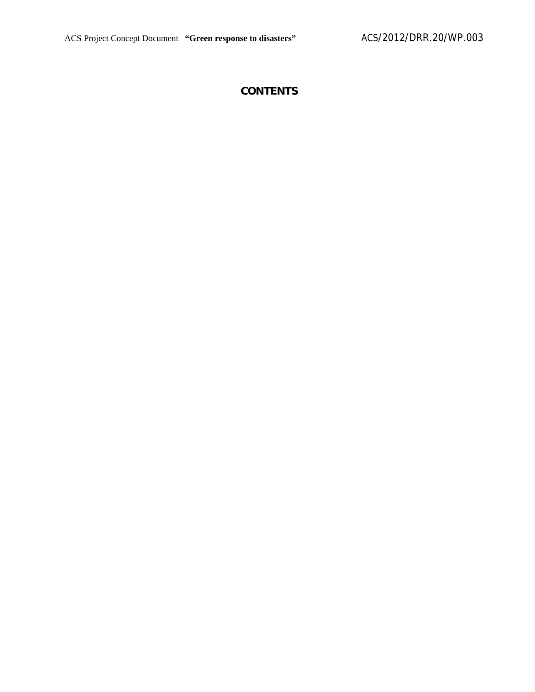# **CONTENTS**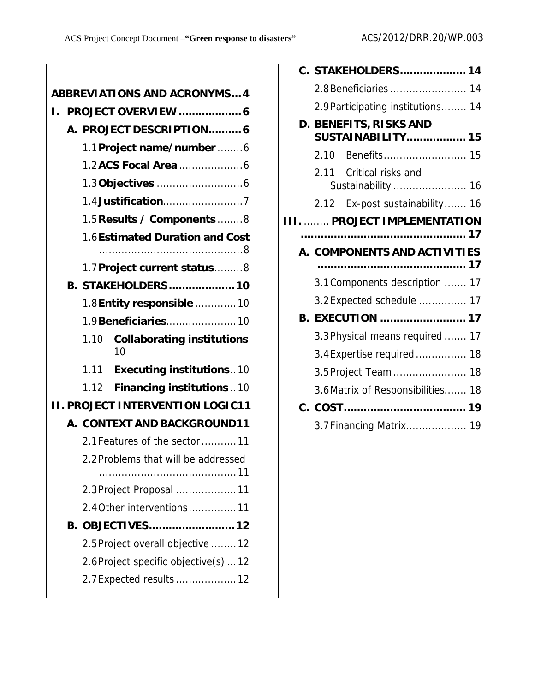| <b>ABBREVIATIONS AND ACRONYMS 4</b> |                     |                                                 |  |  |  |  |
|-------------------------------------|---------------------|-------------------------------------------------|--|--|--|--|
|                                     | PROJECT OVERVIEW  6 |                                                 |  |  |  |  |
|                                     |                     | A. PROJECT DESCRIPTION 6                        |  |  |  |  |
|                                     |                     | 1.1 Project name/number 6                       |  |  |  |  |
|                                     |                     |                                                 |  |  |  |  |
|                                     |                     | 1.3 Objectives 6                                |  |  |  |  |
|                                     |                     | 1.4 Justification7                              |  |  |  |  |
|                                     |                     | 1.5 Results / Components 8                      |  |  |  |  |
|                                     |                     | 1.6 Estimated Duration and Cost                 |  |  |  |  |
|                                     |                     |                                                 |  |  |  |  |
|                                     |                     | 1.7 Project current status8                     |  |  |  |  |
|                                     |                     | <b>B. STAKEHOLDERS 10</b>                       |  |  |  |  |
|                                     |                     | 1.8 Entity responsible  10                      |  |  |  |  |
|                                     |                     | 1.9 Beneficiaries 10                            |  |  |  |  |
|                                     |                     | 1.10<br><b>Collaborating institutions</b><br>10 |  |  |  |  |
|                                     |                     | 1.11<br><b>Executing institutions10</b>         |  |  |  |  |
|                                     |                     | 1.12<br><b>Financing institutions</b> 10        |  |  |  |  |
|                                     |                     | <b>I. PROJECT INTERVENTION LOGIC11</b>          |  |  |  |  |
|                                     |                     | A. CONTEXT AND BACKGROUND11                     |  |  |  |  |
|                                     |                     | 2.1 Features of the sector  11                  |  |  |  |  |
|                                     |                     | 2.2 Problems that will be addressed             |  |  |  |  |
|                                     |                     |                                                 |  |  |  |  |
|                                     |                     | 2.3 Project Proposal  11                        |  |  |  |  |
|                                     |                     | 2.4 Other interventions11                       |  |  |  |  |
|                                     |                     | B. OBJECTIVES 12                                |  |  |  |  |
|                                     |                     | 2.5 Project overall objective  12               |  |  |  |  |
|                                     |                     | 2.6 Project specific objective(s)  12           |  |  |  |  |
|                                     |                     | 2.7 Expected results  12                        |  |  |  |  |
|                                     |                     |                                                 |  |  |  |  |

| C. STAKEHOLDERS 14                                 |
|----------------------------------------------------|
| 2.8 Beneficiaries  14                              |
| 2.9 Participating institutions 14                  |
| D. BENEFITS, RISKS AND<br><b>SUSTAINABILITY 15</b> |
| 2.10                                               |
|                                                    |
| 2.11 Critical risks and<br>Sustainability  16      |
| Ex-post sustainability 16<br>2.12                  |
| PROJECT IMPLEMENTATION                             |
|                                                    |
| A. COMPONENTS AND ACTIVITIES                       |
|                                                    |
|                                                    |
| 3.1 Components description  17                     |
| 3.2 Expected schedule  17                          |
| <b>B. EXECUTION  17</b>                            |
| 3.3 Physical means required  17                    |
| 3.4 Expertise required  18                         |
| 3.5 Project Team  18                               |
| 3.6 Matrix of Responsibilities 18                  |
|                                                    |
| 3.7 Financing Matrix 19                            |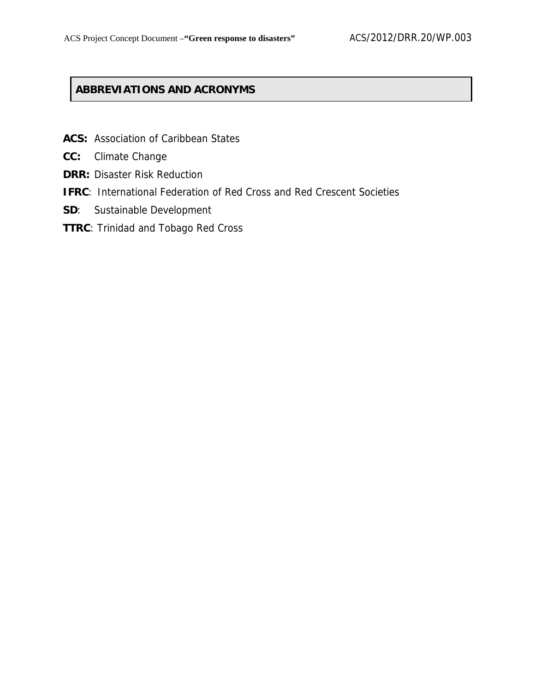# **ABBREVIATIONS AND ACRONYMS**

- **ACS:** Association of Caribbean States
- **CC:** Climate Change
- **DRR: Disaster Risk Reduction**
- **IFRC**: International Federation of Red Cross and Red Crescent Societies
- **SD**: Sustainable Development
- **TTRC**: Trinidad and Tobago Red Cross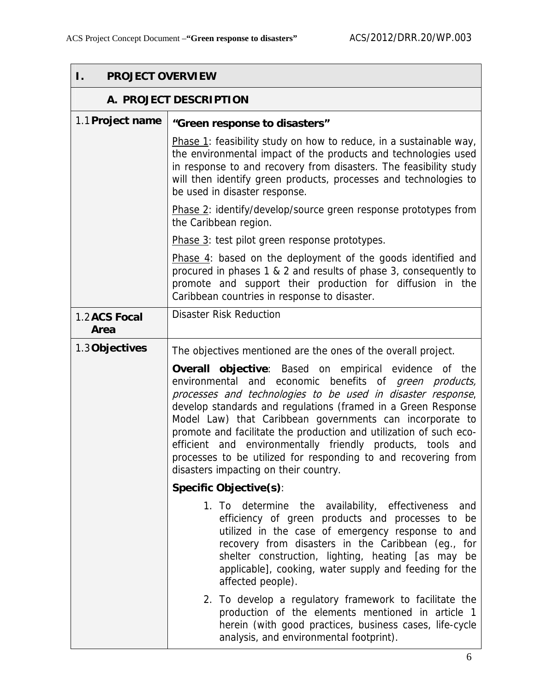| <b>PROJECT OVERVIEW</b><br>Ι. |                                                                                                                                                                                                                                                                                                                                                                                                                                                                                                                                                                   |  |  |  |  |
|-------------------------------|-------------------------------------------------------------------------------------------------------------------------------------------------------------------------------------------------------------------------------------------------------------------------------------------------------------------------------------------------------------------------------------------------------------------------------------------------------------------------------------------------------------------------------------------------------------------|--|--|--|--|
| A. PROJECT DESCRIPTION        |                                                                                                                                                                                                                                                                                                                                                                                                                                                                                                                                                                   |  |  |  |  |
| 1.1 Project name              | "Green response to disasters"                                                                                                                                                                                                                                                                                                                                                                                                                                                                                                                                     |  |  |  |  |
|                               | Phase 1: feasibility study on how to reduce, in a sustainable way,<br>the environmental impact of the products and technologies used<br>in response to and recovery from disasters. The feasibility study<br>will then identify green products, processes and technologies to<br>be used in disaster response.                                                                                                                                                                                                                                                    |  |  |  |  |
|                               | Phase 2: identify/develop/source green response prototypes from<br>the Caribbean region.                                                                                                                                                                                                                                                                                                                                                                                                                                                                          |  |  |  |  |
|                               | Phase 3: test pilot green response prototypes.                                                                                                                                                                                                                                                                                                                                                                                                                                                                                                                    |  |  |  |  |
|                               | Phase $4$ : based on the deployment of the goods identified and<br>procured in phases 1 & 2 and results of phase 3, consequently to<br>promote and support their production for diffusion in the<br>Caribbean countries in response to disaster.                                                                                                                                                                                                                                                                                                                  |  |  |  |  |
| 1.2 ACS Focal<br>Area         | <b>Disaster Risk Reduction</b>                                                                                                                                                                                                                                                                                                                                                                                                                                                                                                                                    |  |  |  |  |
| 1.3 Objectives                | The objectives mentioned are the ones of the overall project.                                                                                                                                                                                                                                                                                                                                                                                                                                                                                                     |  |  |  |  |
|                               | <b>Overall objective:</b> Based on empirical evidence of the<br>environmental and economic benefits of green products,<br>processes and technologies to be used in disaster response,<br>develop standards and regulations (framed in a Green Response<br>Model Law) that Caribbean governments can incorporate to<br>promote and facilitate the production and utilization of such eco-<br>efficient and environmentally friendly products, tools and<br>processes to be utilized for responding to and recovering from<br>disasters impacting on their country. |  |  |  |  |
|                               | <b>Specific Objective(s):</b>                                                                                                                                                                                                                                                                                                                                                                                                                                                                                                                                     |  |  |  |  |
|                               | 1. To determine the availability, effectiveness<br>and<br>efficiency of green products and processes to be<br>utilized in the case of emergency response to and<br>recovery from disasters in the Caribbean (eg., for<br>shelter construction, lighting, heating [as may be<br>applicable], cooking, water supply and feeding for the<br>affected people).                                                                                                                                                                                                        |  |  |  |  |
|                               | 2. To develop a regulatory framework to facilitate the<br>production of the elements mentioned in article 1<br>herein (with good practices, business cases, life-cycle<br>analysis, and environmental footprint).                                                                                                                                                                                                                                                                                                                                                 |  |  |  |  |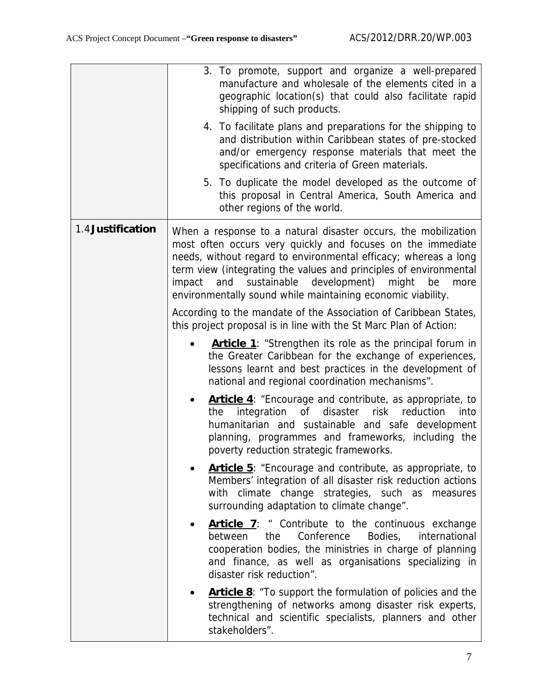|                   | 3. To promote, support and organize a well-prepared<br>manufacture and wholesale of the elements cited in a<br>geographic location(s) that could also facilitate rapid<br>shipping of such products.<br>4. To facilitate plans and preparations for the shipping to<br>and distribution within Caribbean states of pre-stocked<br>and/or emergency response materials that meet the<br>specifications and criteria of Green materials.<br>5. To duplicate the model developed as the outcome of<br>this proposal in Central America, South America and<br>other regions of the world. |  |  |  |
|-------------------|---------------------------------------------------------------------------------------------------------------------------------------------------------------------------------------------------------------------------------------------------------------------------------------------------------------------------------------------------------------------------------------------------------------------------------------------------------------------------------------------------------------------------------------------------------------------------------------|--|--|--|
| 1.4 Justification | When a response to a natural disaster occurs, the mobilization<br>most often occurs very quickly and focuses on the immediate<br>needs, without regard to environmental efficacy; whereas a long<br>term view (integrating the values and principles of environmental<br>sustainable<br>development)<br>and<br>might<br>impact<br>be<br>more<br>environmentally sound while maintaining economic viability.<br>According to the mandate of the Association of Caribbean States,                                                                                                       |  |  |  |
|                   | this project proposal is in line with the St Marc Plan of Action:<br><b>Article 1:</b> "Strengthen its role as the principal forum in<br>the Greater Caribbean for the exchange of experiences,<br>lessons learnt and best practices in the development of<br>national and regional coordination mechanisms".                                                                                                                                                                                                                                                                         |  |  |  |
|                   | <b>Article 4:</b> "Encourage and contribute, as appropriate, to<br>the integration of disaster risk reduction<br>into<br>humanitarian and sustainable and safe development<br>planning, programmes and frameworks, including the<br>poverty reduction strategic frameworks.                                                                                                                                                                                                                                                                                                           |  |  |  |
|                   | <b>Article 5:</b> "Encourage and contribute, as appropriate, to<br>Members' integration of all disaster risk reduction actions<br>with climate change strategies, such as<br>measures<br>surrounding adaptation to climate change".                                                                                                                                                                                                                                                                                                                                                   |  |  |  |
|                   | <b>Article 7:</b> " Contribute to the continuous exchange<br>Conference<br>Bodies,<br>international<br>between<br>the<br>cooperation bodies, the ministries in charge of planning<br>and finance, as well as organisations specializing in<br>disaster risk reduction".                                                                                                                                                                                                                                                                                                               |  |  |  |
|                   | <b>Article 8:</b> "To support the formulation of policies and the<br>strengthening of networks among disaster risk experts,<br>technical and scientific specialists, planners and other<br>stakeholders".                                                                                                                                                                                                                                                                                                                                                                             |  |  |  |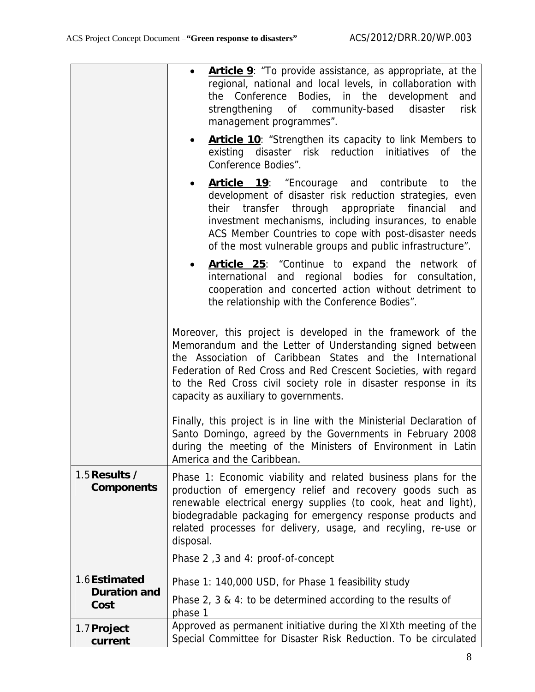|                                     | <b>Article 9</b> : "To provide assistance, as appropriate, at the<br>$\bullet$<br>regional, national and local levels, in collaboration with<br>Conference Bodies, in the development<br>and<br>the<br>strengthening of community-based disaster<br>risk<br>management programmes".<br><b>Article 10</b> : "Strengthen its capacity to link Members to<br>existing disaster risk reduction initiatives of the<br>Conference Bodies". |  |  |  |  |
|-------------------------------------|--------------------------------------------------------------------------------------------------------------------------------------------------------------------------------------------------------------------------------------------------------------------------------------------------------------------------------------------------------------------------------------------------------------------------------------|--|--|--|--|
|                                     | <b>Article 19</b> : "Encourage and contribute to<br>the<br>development of disaster risk reduction strategies, even<br>their transfer through appropriate financial<br>and<br>investment mechanisms, including insurances, to enable<br>ACS Member Countries to cope with post-disaster needs<br>of the most vulnerable groups and public infrastructure".                                                                            |  |  |  |  |
|                                     | Article 25: "Continue to expand the network of<br>international and regional bodies for consultation,<br>cooperation and concerted action without detriment to<br>the relationship with the Conference Bodies".                                                                                                                                                                                                                      |  |  |  |  |
|                                     | Moreover, this project is developed in the framework of the<br>Memorandum and the Letter of Understanding signed between<br>the Association of Caribbean States and the International<br>Federation of Red Cross and Red Crescent Societies, with regard<br>to the Red Cross civil society role in disaster response in its<br>capacity as auxiliary to governments.                                                                 |  |  |  |  |
|                                     | Finally, this project is in line with the Ministerial Declaration of<br>Santo Domingo, agreed by the Governments in February 2008<br>during the meeting of the Ministers of Environment in Latin<br>America and the Caribbean.                                                                                                                                                                                                       |  |  |  |  |
| 1.5 Results /<br><b>Components</b>  | Phase 1: Economic viability and related business plans for the<br>production of emergency relief and recovery goods such as<br>renewable electrical energy supplies (to cook, heat and light),<br>biodegradable packaging for emergency response products and<br>related processes for delivery, usage, and recyling, re-use or<br>disposal.                                                                                         |  |  |  |  |
|                                     | Phase 2,3 and 4: proof-of-concept                                                                                                                                                                                                                                                                                                                                                                                                    |  |  |  |  |
| 1.6Estimated<br><b>Duration and</b> | Phase 1: 140,000 USD, for Phase 1 feasibility study                                                                                                                                                                                                                                                                                                                                                                                  |  |  |  |  |
| Cost                                | Phase $2$ , $3 \& 4$ : to be determined according to the results of<br>phase 1                                                                                                                                                                                                                                                                                                                                                       |  |  |  |  |
| 1.7 Project<br>current              | Approved as permanent initiative during the XIXth meeting of the<br>Special Committee for Disaster Risk Reduction. To be circulated                                                                                                                                                                                                                                                                                                  |  |  |  |  |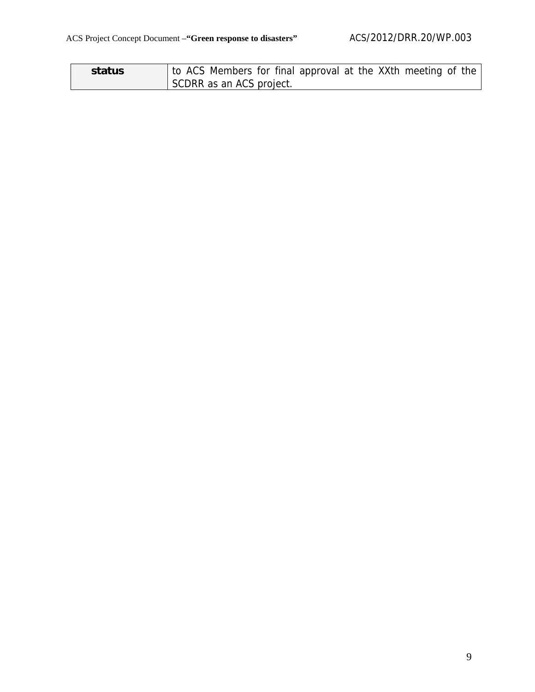| status | to ACS Members for final approval at the XXth meeting of the |
|--------|--------------------------------------------------------------|
|        | SCDRR as an ACS project.                                     |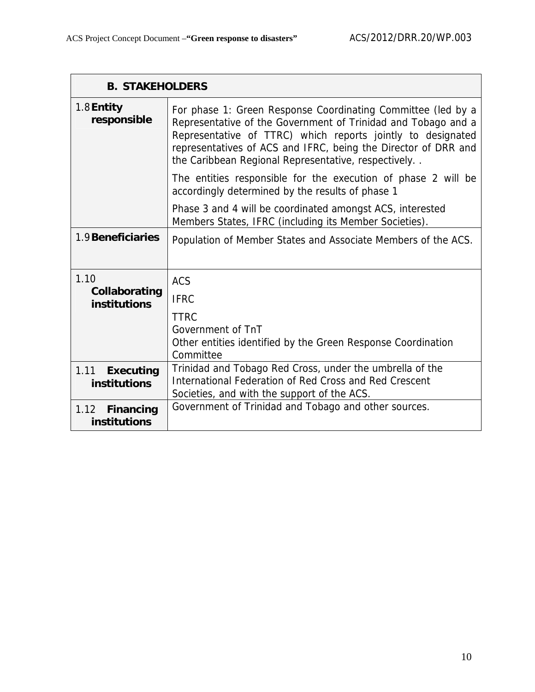|                                                                                                                     | <b>B. STAKEHOLDERS</b>                                                                                                                                                                                                                                                                                                |  |  |  |  |  |  |
|---------------------------------------------------------------------------------------------------------------------|-----------------------------------------------------------------------------------------------------------------------------------------------------------------------------------------------------------------------------------------------------------------------------------------------------------------------|--|--|--|--|--|--|
| $1.8$ Entity<br>responsible                                                                                         | For phase 1: Green Response Coordinating Committee (led by a<br>Representative of the Government of Trinidad and Tobago and a<br>Representative of TTRC) which reports jointly to designated<br>representatives of ACS and IFRC, being the Director of DRR and<br>the Caribbean Regional Representative, respectively |  |  |  |  |  |  |
|                                                                                                                     | The entities responsible for the execution of phase 2 will be<br>accordingly determined by the results of phase 1                                                                                                                                                                                                     |  |  |  |  |  |  |
| Phase 3 and 4 will be coordinated amongst ACS, interested<br>Members States, IFRC (including its Member Societies). |                                                                                                                                                                                                                                                                                                                       |  |  |  |  |  |  |
| 1.9 Beneficiaries                                                                                                   | Population of Member States and Associate Members of the ACS.                                                                                                                                                                                                                                                         |  |  |  |  |  |  |
| 1.10                                                                                                                | <b>ACS</b>                                                                                                                                                                                                                                                                                                            |  |  |  |  |  |  |
| Collaborating<br>institutions                                                                                       | <b>IFRC</b>                                                                                                                                                                                                                                                                                                           |  |  |  |  |  |  |
|                                                                                                                     | <b>TTRC</b>                                                                                                                                                                                                                                                                                                           |  |  |  |  |  |  |
|                                                                                                                     | Government of TnT<br>Other entities identified by the Green Response Coordination<br>Committee                                                                                                                                                                                                                        |  |  |  |  |  |  |
| 1.11<br><b>Executing</b><br>institutions                                                                            | Trinidad and Tobago Red Cross, under the umbrella of the<br>International Federation of Red Cross and Red Crescent<br>Societies, and with the support of the ACS.                                                                                                                                                     |  |  |  |  |  |  |
| 1.12<br><b>Financing</b><br>institutions                                                                            | Government of Trinidad and Tobago and other sources.                                                                                                                                                                                                                                                                  |  |  |  |  |  |  |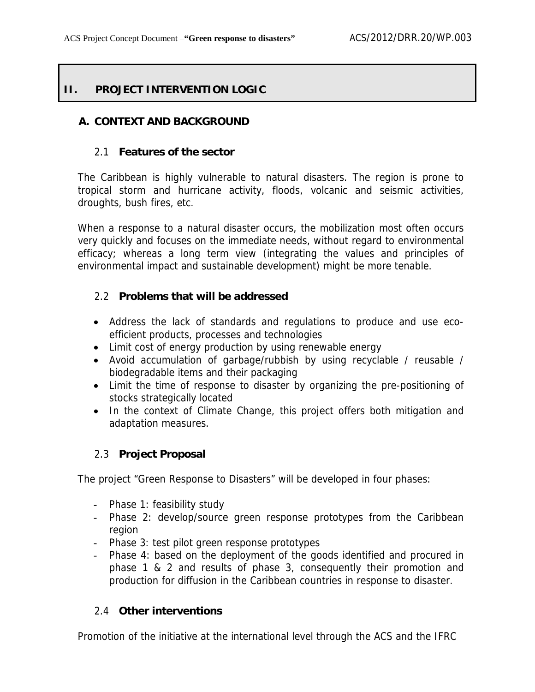## **II. PROJECT INTERVENTION LOGIC**

### **A. CONTEXT AND BACKGROUND**

#### 2.1 **Features of the sector**

The Caribbean is highly vulnerable to natural disasters. The region is prone to tropical storm and hurricane activity, floods, volcanic and seismic activities, droughts, bush fires, etc.

When a response to a natural disaster occurs, the mobilization most often occurs very quickly and focuses on the immediate needs, without regard to environmental efficacy; whereas a long term view (integrating the values and principles of environmental impact and sustainable development) might be more tenable.

#### 2.2 **Problems that will be addressed**

- Address the lack of standards and regulations to produce and use ecoefficient products, processes and technologies
- Limit cost of energy production by using renewable energy
- Avoid accumulation of garbage/rubbish by using recyclable / reusable / biodegradable items and their packaging
- Limit the time of response to disaster by organizing the pre-positioning of stocks strategically located
- In the context of Climate Change, this project offers both mitigation and adaptation measures.

### 2.3 **Project Proposal**

The project "Green Response to Disasters" will be developed in four phases:

- Phase 1: feasibility study
- Phase 2: develop/source green response prototypes from the Caribbean region
- Phase 3: test pilot green response prototypes
- Phase 4: based on the deployment of the goods identified and procured in phase 1 & 2 and results of phase 3, consequently their promotion and production for diffusion in the Caribbean countries in response to disaster.

### 2.4 **Other interventions**

Promotion of the initiative at the international level through the ACS and the IFRC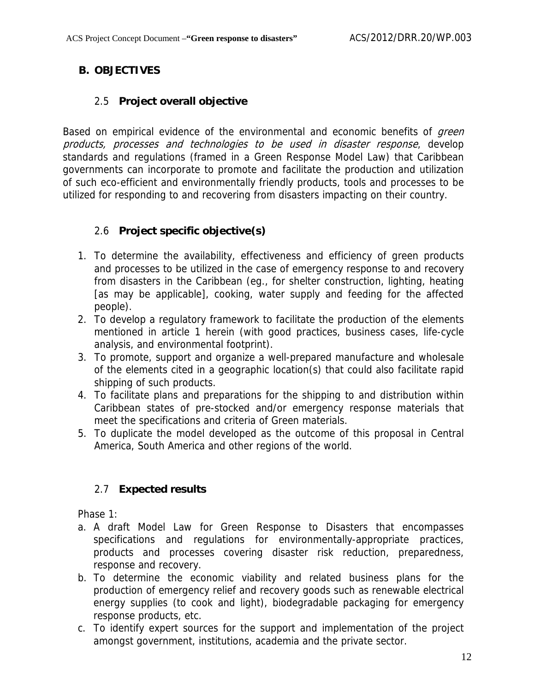# **B. OBJECTIVES**

## 2.5 **Project overall objective**

Based on empirical evidence of the environmental and economic benefits of *green* products, processes and technologies to be used in disaster response, develop standards and regulations (framed in a Green Response Model Law) that Caribbean governments can incorporate to promote and facilitate the production and utilization of such eco-efficient and environmentally friendly products, tools and processes to be utilized for responding to and recovering from disasters impacting on their country.

# 2.6 **Project specific objective(s)**

- 1. To determine the availability, effectiveness and efficiency of green products and processes to be utilized in the case of emergency response to and recovery from disasters in the Caribbean (eg., for shelter construction, lighting, heating [as may be applicable], cooking, water supply and feeding for the affected people).
- 2. To develop a regulatory framework to facilitate the production of the elements mentioned in article 1 herein (with good practices, business cases, life-cycle analysis, and environmental footprint).
- 3. To promote, support and organize a well-prepared manufacture and wholesale of the elements cited in a geographic location(s) that could also facilitate rapid shipping of such products.
- 4. To facilitate plans and preparations for the shipping to and distribution within Caribbean states of pre-stocked and/or emergency response materials that meet the specifications and criteria of Green materials.
- 5. To duplicate the model developed as the outcome of this proposal in Central America, South America and other regions of the world.

# 2.7 **Expected results**

Phase 1:

- a. A draft Model Law for Green Response to Disasters that encompasses specifications and regulations for environmentally-appropriate practices, products and processes covering disaster risk reduction, preparedness, response and recovery.
- b. To determine the economic viability and related business plans for the production of emergency relief and recovery goods such as renewable electrical energy supplies (to cook and light), biodegradable packaging for emergency response products, etc.
- c. To identify expert sources for the support and implementation of the project amongst government, institutions, academia and the private sector.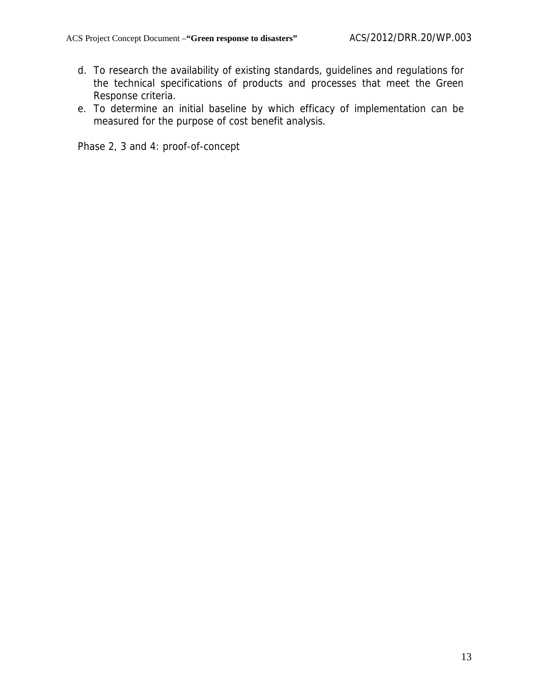- d. To research the availability of existing standards, guidelines and regulations for the technical specifications of products and processes that meet the Green Response criteria.
- e. To determine an initial baseline by which efficacy of implementation can be measured for the purpose of cost benefit analysis.

Phase 2, 3 and 4: proof-of-concept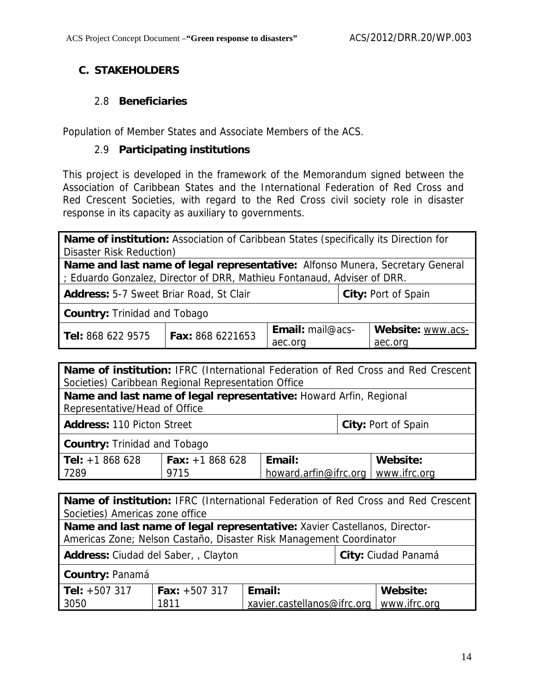## **C. STAKEHOLDERS**

### 2.8 **Beneficiaries**

Population of Member States and Associate Members of the ACS.

### 2.9 **Participating institutions**

This project is developed in the framework of the Memorandum signed between the Association of Caribbean States and the International Federation of Red Cross and Red Crescent Societies, with regard to the Red Cross civil society role in disaster response in its capacity as auxiliary to governments.

| Name of institution: Association of Caribbean States (specifically its Direction for |                          |                         |  |                   |  |  |
|--------------------------------------------------------------------------------------|--------------------------|-------------------------|--|-------------------|--|--|
|                                                                                      | Disaster Risk Reduction) |                         |  |                   |  |  |
| Name and last name of legal representative: Alfonso Munera, Secretary General        |                          |                         |  |                   |  |  |
| ; Eduardo Gonzalez, Director of DRR, Mathieu Fontanaud, Adviser of DRR.              |                          |                         |  |                   |  |  |
| <b>Address:</b> 5-7 Sweet Briar Road, St Clair<br>City: Port of Spain                |                          |                         |  |                   |  |  |
| <b>Country: Trinidad and Tobago</b>                                                  |                          |                         |  |                   |  |  |
| Tel: 868 622 9575                                                                    | <b>Fax: 868 6221653</b>  | <b>Email:</b> mail@acs- |  | Website: www.acs- |  |  |
| aec.org<br>aec.org                                                                   |                          |                         |  |                   |  |  |

| Name of institution: IFRC (International Federation of Red Cross and Red Crescent |                        |              |  |          |  |
|-----------------------------------------------------------------------------------|------------------------|--------------|--|----------|--|
| Societies) Caribbean Regional Representation Office                               |                        |              |  |          |  |
| Name and last name of legal representative: Howard Arfin, Regional                |                        |              |  |          |  |
| Representative/Head of Office                                                     |                        |              |  |          |  |
| <b>Address: 110 Picton Street</b><br>City: Port of Spain                          |                        |              |  |          |  |
| <b>Country: Trinidad and Tobago</b>                                               |                        |              |  |          |  |
| <b>Tel:</b> $+1868628$                                                            | <b>Fax:</b> $+1868628$ | Email:       |  | Website: |  |
| 7289                                                                              | howard.arfin@ifrc.org  | www.ifrc.org |  |          |  |
|                                                                                   |                        |              |  |          |  |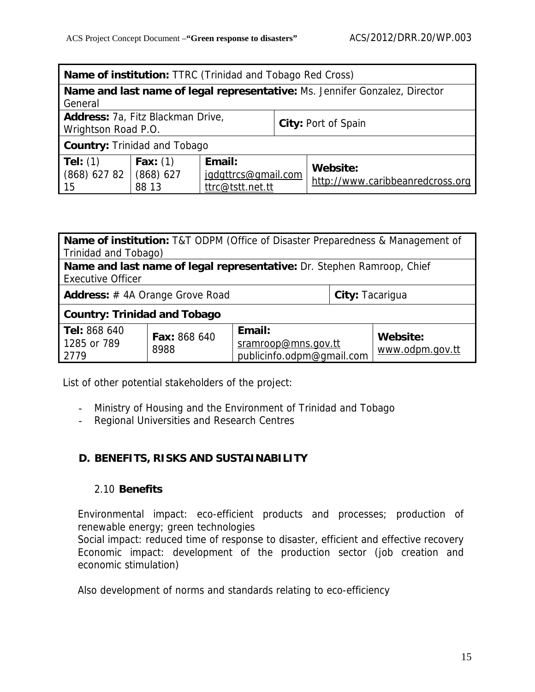| <b>Name of institution: TTRC (Trinidad and Tobago Red Cross)</b>                       |                     |                                                   |  |                                              |  |  |
|----------------------------------------------------------------------------------------|---------------------|---------------------------------------------------|--|----------------------------------------------|--|--|
| Name and last name of legal representative: Ms. Jennifer Gonzalez, Director<br>General |                     |                                                   |  |                                              |  |  |
| Address: 7a, Fitz Blackman Drive,<br>City: Port of Spain<br>Wrightson Road P.O.        |                     |                                                   |  |                                              |  |  |
| <b>Country: Trinidad and Tobago</b>                                                    |                     |                                                   |  |                                              |  |  |
| Tel: $(1)$<br>$(868)$ 627 82 $(868)$ 627<br>15                                         | Fax: $(1)$<br>88 13 | Email:<br>jgdgttrcs@gmail.com<br>ttrc@tstt.net.tt |  | Website:<br>http://www.caribbeanredcross.org |  |  |

| <b>Name of institution:</b> T&T ODPM (Office of Disaster Preparedness & Management of |                      |                     |  |          |  |  |  |
|---------------------------------------------------------------------------------------|----------------------|---------------------|--|----------|--|--|--|
|                                                                                       | Trinidad and Tobago) |                     |  |          |  |  |  |
| Name and last name of legal representative: Dr. Stephen Ramroop, Chief                |                      |                     |  |          |  |  |  |
| <b>Executive Officer</b>                                                              |                      |                     |  |          |  |  |  |
| <b>Address:</b> #4A Orange Grove Road<br>City: Tacarigua                              |                      |                     |  |          |  |  |  |
| <b>Country: Trinidad and Tobago</b>                                                   |                      |                     |  |          |  |  |  |
| Tel: 868 640                                                                          | <b>Fax: 868 640</b>  | Email:              |  | Website: |  |  |  |
| 1285 or 789                                                                           | 8988                 | sramroop@mns.gov.tt |  |          |  |  |  |
| www.odpm.gov.tt<br>publicinfo.odpm@qmail.com<br>2779                                  |                      |                     |  |          |  |  |  |

List of other potential stakeholders of the project:

- Ministry of Housing and the Environment of Trinidad and Tobago
- Regional Universities and Research Centres

## **D. BENEFITS, RISKS AND SUSTAINABILITY**

### 2.10 **Benefits**

Environmental impact: eco-efficient products and processes; production of renewable energy; green technologies

Social impact: reduced time of response to disaster, efficient and effective recovery Economic impact: development of the production sector (job creation and economic stimulation)

Also development of norms and standards relating to eco-efficiency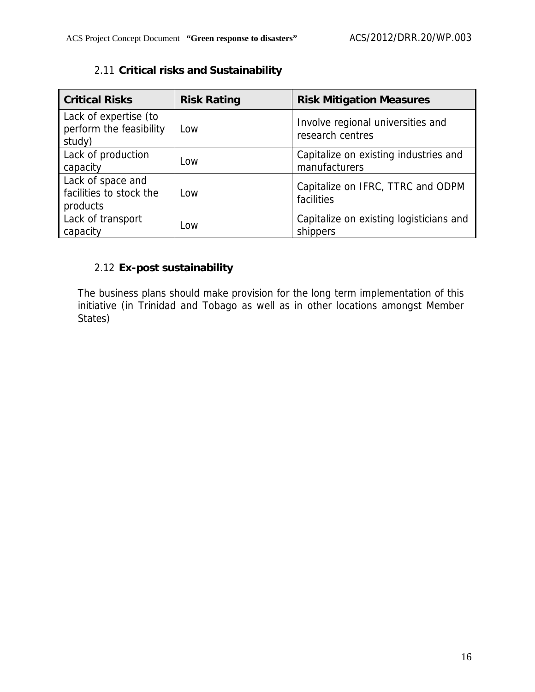| <b>Critical Risks</b>                                      | <b>Risk Rating</b> | <b>Risk Mitigation Measures</b>                        |
|------------------------------------------------------------|--------------------|--------------------------------------------------------|
| Lack of expertise (to<br>perform the feasibility<br>study) | Low                | Involve regional universities and<br>research centres  |
| Lack of production<br>capacity                             | LOW                | Capitalize on existing industries and<br>manufacturers |
| Lack of space and<br>facilities to stock the<br>products   | Low                | Capitalize on IFRC, TTRC and ODPM<br>facilities        |
| Lack of transport<br>capacity                              | Low                | Capitalize on existing logisticians and<br>shippers    |

# 2.11 **Critical risks and Sustainability**

# 2.12 **Ex-post sustainability**

The business plans should make provision for the long term implementation of this initiative (in Trinidad and Tobago as well as in other locations amongst Member States)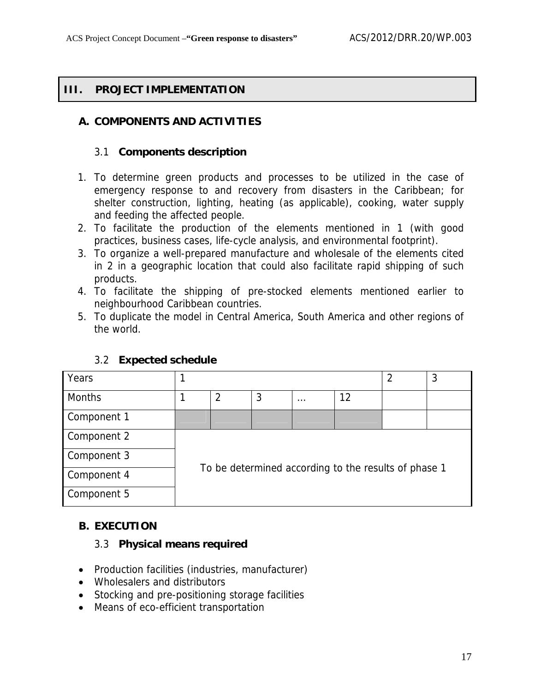### **III. PROJECT IMPLEMENTATION**

### **A. COMPONENTS AND ACTIVITIES**

#### 3.1 **Components description**

- 1. To determine green products and processes to be utilized in the case of emergency response to and recovery from disasters in the Caribbean; for shelter construction, lighting, heating (as applicable), cooking, water supply and feeding the affected people.
- 2. To facilitate the production of the elements mentioned in 1 (with good practices, business cases, life-cycle analysis, and environmental footprint).
- 3. To organize a well-prepared manufacture and wholesale of the elements cited in 2 in a geographic location that could also facilitate rapid shipping of such products.
- 4. To facilitate the shipping of pre-stocked elements mentioned earlier to neighbourhood Caribbean countries.
- 5. To duplicate the model in Central America, South America and other regions of the world.

| Years         | 3<br>$\overline{2}$                                  |   |   |          |    |  |  |
|---------------|------------------------------------------------------|---|---|----------|----|--|--|
| <b>Months</b> |                                                      | 2 | 3 | $\cdots$ | 12 |  |  |
| Component 1   |                                                      |   |   |          |    |  |  |
| Component 2   | To be determined according to the results of phase 1 |   |   |          |    |  |  |
| Component 3   |                                                      |   |   |          |    |  |  |
| Component 4   |                                                      |   |   |          |    |  |  |
| Component 5   |                                                      |   |   |          |    |  |  |

#### 3.2 **Expected schedule**

### **B. EXECUTION**

### 3.3 **Physical means required**

- Production facilities (industries, manufacturer)
- Wholesalers and distributors
- Stocking and pre-positioning storage facilities
- Means of eco-efficient transportation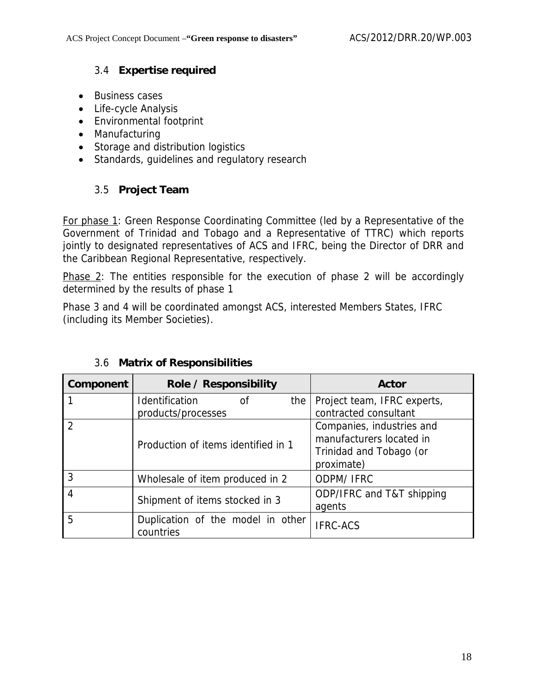### 3.4 **Expertise required**

- Business cases
- Life-cycle Analysis
- Environmental footprint
- Manufacturing
- Storage and distribution logistics
- Standards, guidelines and regulatory research

## 3.5 **Project Team**

For phase 1: Green Response Coordinating Committee (led by a Representative of the Government of Trinidad and Tobago and a Representative of TTRC) which reports jointly to designated representatives of ACS and IFRC, being the Director of DRR and the Caribbean Regional Representative, respectively.

Phase 2: The entities responsible for the execution of phase 2 will be accordingly determined by the results of phase 1

Phase 3 and 4 will be coordinated amongst ACS, interested Members States, IFRC (including its Member Societies).

| Component                | Role / Responsibility                          | <b>Actor</b>                                                                                   |  |  |
|--------------------------|------------------------------------------------|------------------------------------------------------------------------------------------------|--|--|
|                          | Identification<br>the  <br>οf                  | Project team, IFRC experts,                                                                    |  |  |
|                          | products/processes                             | contracted consultant                                                                          |  |  |
| $\overline{\phantom{a}}$ | Production of items identified in 1            | Companies, industries and<br>manufacturers located in<br>Trinidad and Tobago (or<br>proximate) |  |  |
| 3                        | Wholesale of item produced in 2                | <b>ODPM/ IFRC</b>                                                                              |  |  |
| $\overline{4}$           | Shipment of items stocked in 3                 | ODP/IFRC and T&T shipping<br>agents                                                            |  |  |
| 5                        | Duplication of the model in other<br>countries | <b>IFRC-ACS</b>                                                                                |  |  |

## 3.6 **Matrix of Responsibilities**